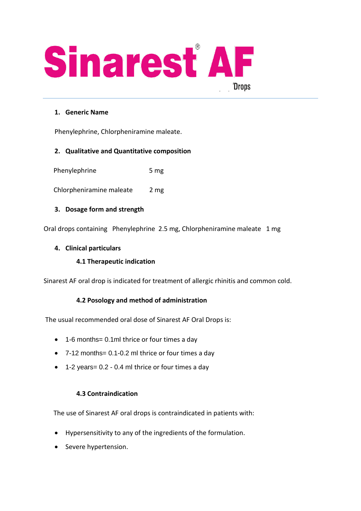

## **1. Generic Name**

Phenylephrine, Chlorpheniramine maleate.

# **2. Qualitative and Quantitative composition**

Phenylephrine 5 mg

Chlorpheniramine maleate 2 mg

### **3. Dosage form and strength**

Oral drops containing Phenylephrine 2.5 mg, Chlorpheniramine maleate 1 mg

### **4. Clinical particulars**

### **4.1 Therapeutic indication**

Sinarest AF oral drop is indicated for treatment of allergic rhinitis and common cold.

### **4.2 Posology and method of administration**

The usual recommended oral dose of Sinarest AF Oral Drops is:

- 1-6 months = 0.1ml thrice or four times a day
- 7-12 months= 0.1-0.2 ml thrice or four times a day
- 1-2 years= 0.2 0.4 ml thrice or four times a day

### **4.3 Contraindication**

The use of Sinarest AF oral drops is contraindicated in patients with:

- Hypersensitivity to any of the ingredients of the formulation.
- Severe hypertension.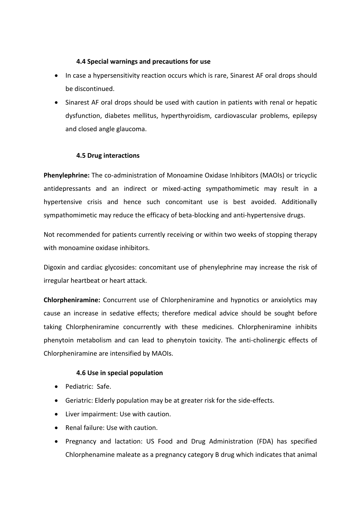### **4.4 Special warnings and precautions for use**

- In case a hypersensitivity reaction occurs which is rare, Sinarest AF oral drops should be discontinued.
- Sinarest AF oral drops should be used with caution in patients with renal or hepatic dysfunction, diabetes mellitus, hyperthyroidism, cardiovascular problems, epilepsy and closed angle glaucoma.

# **4.5 Drug interactions**

**Phenylephrine:** The co-administration of Monoamine Oxidase Inhibitors (MAOIs) or tricyclic antidepressants and an indirect or mixed-acting sympathomimetic may result in a hypertensive crisis and hence such concomitant use is best avoided. Additionally sympathomimetic may reduce the efficacy of beta-blocking and anti-hypertensive drugs.

Not recommended for patients currently receiving or within two weeks of stopping therapy with monoamine oxidase inhibitors.

Digoxin and cardiac glycosides: concomitant use of phenylephrine may increase the risk of irregular heartbeat or heart attack.

**Chlorpheniramine:** Concurrent use of Chlorpheniramine and hypnotics or anxiolytics may cause an increase in sedative effects; therefore medical advice should be sought before taking Chlorpheniramine concurrently with these medicines. Chlorpheniramine inhibits phenytoin metabolism and can lead to phenytoin toxicity. The anti-cholinergic effects of Chlorpheniramine are intensified by MAOIs.

# **4.6 Use in special population**

- Pediatric: Safe.
- Geriatric: Elderly population may be at greater risk for the side-effects.
- Liver impairment: Use with caution.
- Renal failure: Use with caution.
- Pregnancy and lactation: US Food and Drug Administration (FDA) has specified Chlorphenamine maleate as a pregnancy category B drug which indicates that animal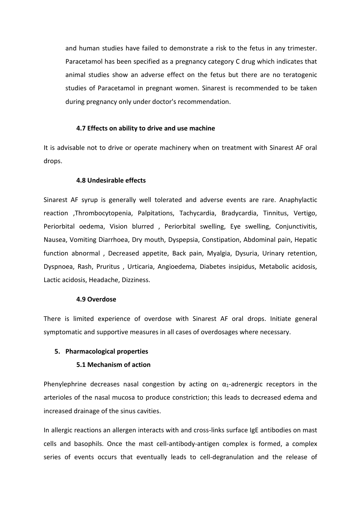and human studies have failed to demonstrate a risk to the fetus in any trimester. Paracetamol has been specified as a pregnancy category C drug which indicates that animal studies show an adverse effect on the fetus but there are no teratogenic studies of Paracetamol in pregnant women. Sinarest is recommended to be taken during pregnancy only under doctor's recommendation.

#### **4.7 Effects on ability to drive and use machine**

It is advisable not to drive or operate machinery when on treatment with Sinarest AF oral drops.

#### **4.8 Undesirable effects**

Sinarest AF syrup is generally well tolerated and adverse events are rare. Anaphylactic reaction ,Thrombocytopenia, Palpitations, Tachycardia, Bradycardia, Tinnitus, Vertigo, Periorbital oedema, Vision blurred , Periorbital swelling, Eye swelling, Conjunctivitis, Nausea, Vomiting Diarrhoea, Dry mouth, Dyspepsia, Constipation, Abdominal pain, Hepatic function abnormal , Decreased appetite, Back pain, Myalgia, Dysuria, Urinary retention, Dyspnoea, Rash, Pruritus , Urticaria, Angioedema, Diabetes insipidus, Metabolic acidosis, Lactic acidosis, Headache, Dizziness.

#### **4.9 Overdose**

There is limited experience of overdose with Sinarest AF oral drops. Initiate general symptomatic and supportive measures in all cases of overdosages where necessary.

#### **5. Pharmacological properties**

### **5.1 Mechanism of action**

Phenylephrine decreases nasal congestion by acting on  $\alpha_1$ -adrenergic receptors in the arterioles of the nasal mucosa to produce constriction; this leads to decreased edema and increased drainage of the sinus cavities.

In allergic reactions an allergen interacts with and cross-links surface IgE antibodies on mast cells and basophils. Once the mast cell-antibody-antigen complex is formed, a complex series of events occurs that eventually leads to cell-degranulation and the release of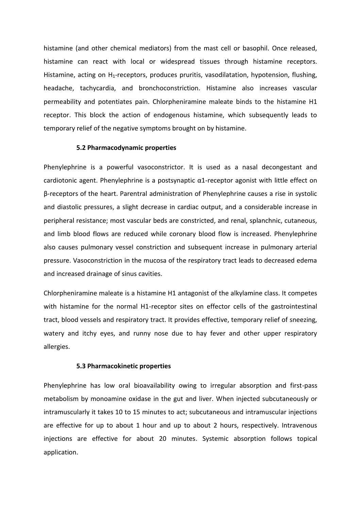histamine (and other chemical mediators) from the mast cell or basophil. Once released, histamine can react with local or widespread tissues through histamine receptors. Histamine, acting on H<sub>1</sub>-receptors, produces pruritis, vasodilatation, hypotension, flushing, headache, tachycardia, and bronchoconstriction. Histamine also increases vascular permeability and potentiates pain. Chlorpheniramine maleate binds to the histamine H1 receptor. This block the action of endogenous histamine, which subsequently leads to temporary relief of the negative symptoms brought on by histamine.

#### **5.2 Pharmacodynamic properties**

Phenylephrine is a powerful vasoconstrictor. It is used as a nasal decongestant and cardiotonic agent. Phenylephrine is a postsynaptic α1-receptor agonist with little effect on β-receptors of the heart. Parentral administration of Phenylephrine causes a rise in systolic and diastolic pressures, a slight decrease in cardiac output, and a considerable increase in peripheral resistance; most vascular beds are constricted, and renal, splanchnic, cutaneous, and limb blood flows are reduced while coronary blood flow is increased. Phenylephrine also causes pulmonary vessel constriction and subsequent increase in pulmonary arterial pressure. Vasoconstriction in the mucosa of the respiratory tract leads to decreased edema and increased drainage of sinus cavities.

Chlorpheniramine maleate is a histamine H1 antagonist of the alkylamine class. It competes with histamine for the normal H1-receptor sites on effector cells of the gastrointestinal tract, blood vessels and respiratory tract. It provides effective, temporary relief of sneezing, watery and itchy eyes, and runny nose due to hay fever and other upper respiratory allergies.

#### **5.3 Pharmacokinetic properties**

Phenylephrine has low oral bioavailability owing to irregular absorption and first-pass metabolism by monoamine oxidase in the gut and liver. When injected subcutaneously or intramuscularly it takes 10 to 15 minutes to act; subcutaneous and intramuscular injections are effective for up to about 1 hour and up to about 2 hours, respectively. Intravenous injections are effective for about 20 minutes. Systemic absorption follows topical application.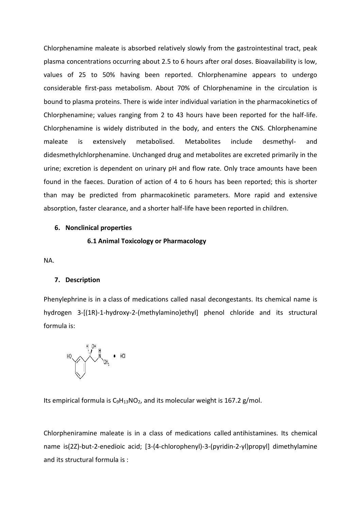Chlorphenamine maleate is absorbed relatively slowly from the gastrointestinal tract, peak plasma concentrations occurring about 2.5 to 6 hours after oral doses. Bioavailability is low, values of 25 to 50% having been reported. Chlorphenamine appears to undergo considerable first-pass metabolism. About 70% of Chlorphenamine in the circulation is bound to plasma proteins. There is wide inter individual variation in the pharmacokinetics of Chlorphenamine; values ranging from 2 to 43 hours have been reported for the half-life. Chlorphenamine is widely distributed in the body, and enters the CNS. Chlorphenamine maleate is extensively metabolised. Metabolites include desmethyl- and didesmethylchlorphenamine. Unchanged drug and metabolites are excreted primarily in the urine; excretion is dependent on urinary pH and flow rate. Only trace amounts have been found in the faeces. Duration of action of 4 to 6 hours has been reported; this is shorter than may be predicted from pharmacokinetic parameters. More rapid and extensive absorption, faster clearance, and a shorter half-life have been reported in children.

#### **6. Nonclinical properties**

#### **6.1 Animal Toxicology or Pharmacology**

NA.

### **7. Description**

Phenylephrine is in a class of medications called nasal decongestants. Its chemical name is hydrogen 3-[(1R)-1-hydroxy-2-(methylamino)ethyl] phenol chloride and its structural formula is:



Its empirical formula is  $C_9H_{13}NO_2$  $C_9H_{13}NO_2$  $C_9H_{13}NO_2$ , and its molecular weight is 167.2 g/mol.

Chlorpheniramine maleate is in a class of medications called antihistamines. Its chemical name is(2Z)-but-2-enedioic acid; [3-(4-chlorophenyl)-3-(pyridin-2-yl)propyl] dimethylamine and its structural formula is :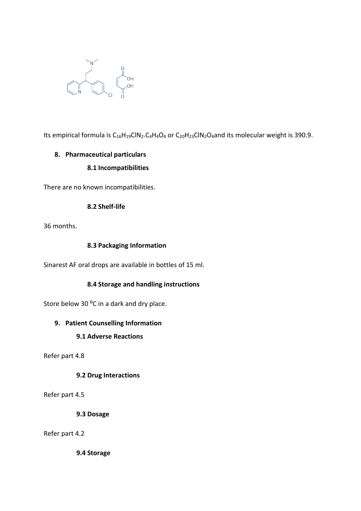

Its empirical formula is  $C_{16}H_{19}CIN_2.C_4H_4O_4$  or  $C_{20}H_{23}CIN_2O_4$  and its molecular weight is 390.9.

# **8. Pharmaceutical particulars 8.1 Incompatibilities**

There are no known incompatibilities.

### **8.2 Shelf-life**

36 months.

### **8.3 Packaging Information**

Sinarest AF oral drops are available in bottles of 15 ml.

# **8.4 Storage and handling instructions**

Store below 30 °C in a dark and dry place.

### **9. Patient Counselling Information**

### **9.1 Adverse Reactions**

Refer part 4.8

### **9.2 Drug Interactions**

Refer part 4.5

**9.3 Dosage**

Refer part 4.2

**9.4 Storage**